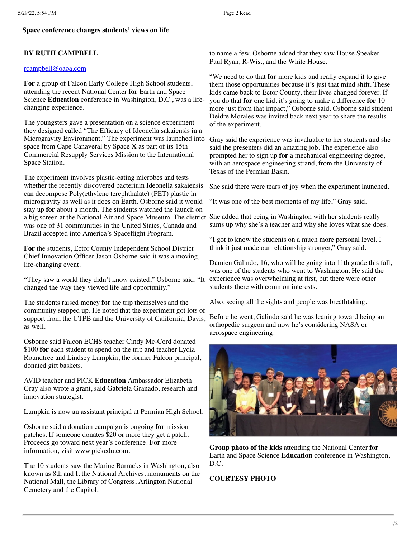## **Space conference changes students' views on life**

## **BY RUTH CAMPBELL**

## [rcampbell@oaoa.com](mailto:rcampbell@oaoa.com)

**For** a group of Falcon Early College High School students, attending the recent National Center **for** Earth and Space Science **Education** conference in Washington, D.C., was a lifechanging experience.

The youngsters gave a presentation on a science experiment they designed called "The Efficacy of Ideonella sakaiensis in a Microgravity Environment." The experiment was launched into space from Cape Canaveral by Space X as part of its 15th Commercial Resupply Services Mission to the International Space Station.

The experiment involves plastic-eating microbes and tests whether the recently discovered bacterium Ideonella sakaiensis can decompose Poly(ethylene terephthalate) (PET) plastic in microgravity as well as it does on Earth. Osborne said it would stay up **for** about a month. The students watched the launch on a big screen at the National Air and Space Museum. The district She added that being in Washington with her students really was one of 31 communities in the United States, Canada and Brazil accepted into America's Spaceflight Program.

**For** the students, Ector County Independent School District Chief Innovation Officer Jason Osborne said it was a moving, life-changing event.

"They saw a world they didn't know existed," Osborne said. "It changed the way they viewed life and opportunity."

The students raised money **for** the trip themselves and the community stepped up. He noted that the experiment got lots of support from the UTPB and the University of California, Davis, as well.

Osborne said Falcon ECHS teacher Cindy Mc-Cord donated \$100 **for** each student to spend on the trip and teacher Lydia Roundtree and Lindsey Lumpkin, the former Falcon principal, donated gift baskets.

AVID teacher and PICK **Education** Ambassador Elizabeth Gray also wrote a grant, said Gabriela Granado, research and innovation strategist.

Lumpkin is now an assistant principal at Permian High School.

Osborne said a donation campaign is ongoing **for** mission patches. If someone donates \$20 or more they get a patch. Proceeds go toward next year's conference. **For** more information, visit www.pickedu.com.

The 10 students saw the Marine Barracks in Washington, also known as 8th and I, the National Archives, monuments on the National Mall, the Library of Congress, Arlington National Cemetery and the Capitol,

to name a few. Osborne added that they saw House Speaker Paul Ryan, R-Wis., and the White House.

"We need to do that **for** more kids and really expand it to give them those opportunities because it's just that mind shift. These kids came back to Ector County, their lives changed forever. If you do that **for** one kid, it's going to make a difference **for** 10 more just from that impact," Osborne said. Osborne said student Deidre Morales was invited back next year to share the results of the experiment.

Gray said the experience was invaluable to her students and she said the presenters did an amazing job. The experience also prompted her to sign up **for** a mechanical engineering degree, with an aerospace engineering strand, from the University of Texas of the Permian Basin.

She said there were tears of joy when the experiment launched.

"It was one of the best moments of my life," Gray said.

sums up why she's a teacher and why she loves what she does.

"I got to know the students on a much more personal level. I think it just made our relationship stronger," Gray said.

Damien Galindo, 16, who will be going into 11th grade this fall, was one of the students who went to Washington. He said the experience was overwhelming at first, but there were other students there with common interests.

Also, seeing all the sights and people was breathtaking.

Before he went, Galindo said he was leaning toward being an orthopedic surgeon and now he's considering NASA or aerospace engineering.



**Group photo of the kids** attending the National Center **for** Earth and Space Science **Education** conference in Washington, D.C.

## **COURTESY PHOTO**